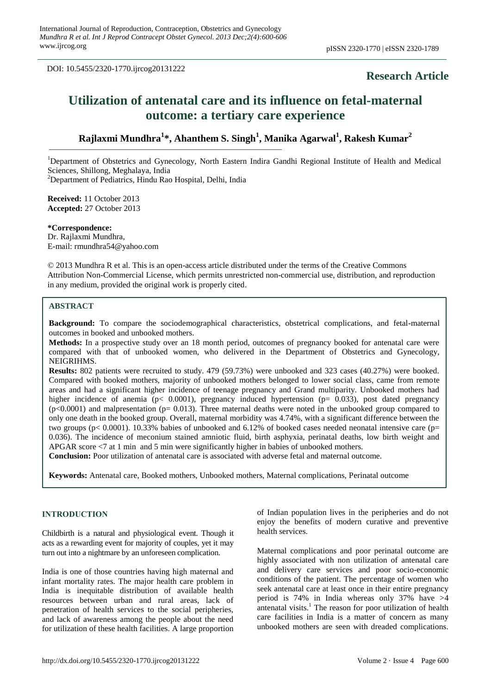DOI: 10.5455/2320-1770.ijrcog20131222

# **Research Article**

# **Utilization of antenatal care and its influence on fetal-maternal outcome: a tertiary care experience**

# **Rajlaxmi Mundhra<sup>1</sup> \*, Ahanthem S. Singh<sup>1</sup> , Manika Agarwal<sup>1</sup> , Rakesh Kumar<sup>2</sup>**

<sup>1</sup>Department of Obstetrics and Gynecology, North Eastern Indira Gandhi Regional Institute of Health and Medical Sciences, Shillong, Meghalaya, India

<sup>2</sup>Department of Pediatrics, Hindu Rao Hospital, Delhi, India

**Received:** 11 October 2013 **Accepted:** 27 October 2013

**\*Correspondence:** Dr. Rajlaxmi Mundhra, E-mail: rmundhra54@yahoo.com

© 2013 Mundhra R et al. This is an open-access article distributed under the terms of the Creative Commons Attribution Non-Commercial License, which permits unrestricted non-commercial use, distribution, and reproduction in any medium, provided the original work is properly cited.

# **ABSTRACT**

**Background:** To compare the sociodemographical characteristics, obstetrical complications, and fetal-maternal outcomes in booked and unbooked mothers.

**Methods:** In a prospective study over an 18 month period, outcomes of pregnancy booked for antenatal care were compared with that of unbooked women, who delivered in the Department of Obstetrics and Gynecology, NEIGRIHMS.

**Results:** 802 patients were recruited to study. 479 (59.73%) were unbooked and 323 cases (40.27%) were booked. Compared with booked mothers, majority of unbooked mothers belonged to lower social class, came from remote areas and had a significant higher incidence of teenage pregnancy and Grand multiparity. Unbooked mothers had higher incidence of anemia (p< 0.0001), pregnancy induced hypertension (p= 0.033), post dated pregnancy  $(p<0.0001)$  and malpresentation ( $p= 0.013$ ). Three maternal deaths were noted in the unbooked group compared to only one death in the booked group. Overall, maternal morbidity was 4.74%, with a significant difference between the two groups ( $p$ < 0.0001). 10.33% babies of unbooked and 6.12% of booked cases needed neonatal intensive care ( $p=$ 0.036). The incidence of meconium stained amniotic fluid, birth asphyxia, perinatal deaths, low birth weight and APGAR score <7 at 1 min and 5 min were significantly higher in babies of unbooked mothers.

**Conclusion:** Poor utilization of antenatal care is associated with adverse fetal and maternal outcome.

**Keywords:** Antenatal care, Booked mothers, Unbooked mothers, Maternal complications, Perinatal outcome

#### **INTRODUCTION**

Childbirth is a natural and physiological event. Though it acts as a rewarding event for majority of couples, yet it may turn out into a nightmare by an unforeseen complication.

India is one of those countries having high maternal and infant mortality rates. The major health care problem in India is inequitable distribution of available health resources between urban and rural areas, lack of penetration of health services to the social peripheries, and lack of awareness among the people about the need for utilization of these health facilities. A large proportion of Indian population lives in the peripheries and do not enjoy the benefits of modern curative and preventive health services.

Maternal complications and poor perinatal outcome are highly associated with non utilization of antenatal care and delivery care services and poor socio-economic conditions of the patient. The percentage of women who seek antenatal care at least once in their entire pregnancy period is 74% in India whereas only 37% have >4 antenatal visits.<sup>1</sup> The reason for poor utilization of health care facilities in India is a matter of concern as many unbooked mothers are seen with dreaded complications.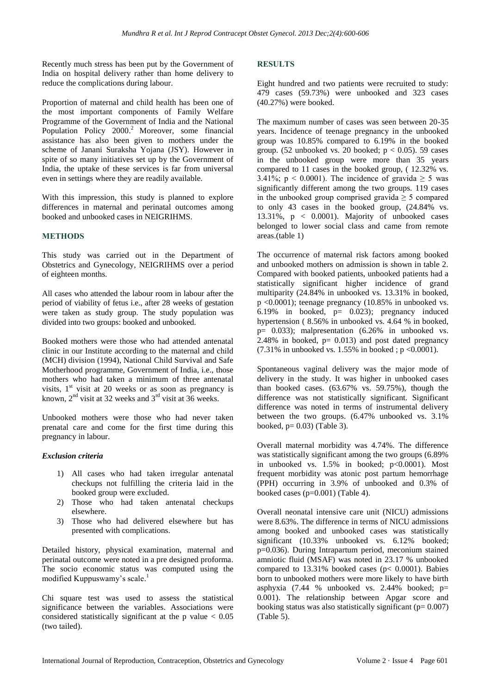Recently much stress has been put by the Government of India on hospital delivery rather than home delivery to reduce the complications during labour.

Proportion of maternal and child health has been one of the most important components of Family Welfare Programme of the Government of India and the National Population Policy 2000.<sup>2</sup> Moreover, some financial assistance has also been given to mothers under the scheme of Janani Suraksha Yojana (JSY). However in spite of so many initiatives set up by the Government of India, the uptake of these services is far from universal even in settings where they are readily available.

With this impression, this study is planned to explore differences in maternal and perinatal outcomes among booked and unbooked cases in NEIGRIHMS.

# **METHODS**

This study was carried out in the Department of Obstetrics and Gynecology, NEIGRIHMS over a period of eighteen months.

All cases who attended the labour room in labour after the period of viability of fetus i.e., after 28 weeks of gestation were taken as study group. The study population was divided into two groups: booked and unbooked.

Booked mothers were those who had attended antenatal clinic in our Institute according to the maternal and child (MCH) division (1994), National Child Survival and Safe Motherhood programme, Government of India, i.e., those mothers who had taken a minimum of three antenatal visits,  $1<sup>st</sup>$  visit at 20 weeks or as soon as pregnancy is known,  $2<sup>nd</sup>$  visit at 32 weeks and  $3<sup>rd</sup>$  visit at 36 weeks.

Unbooked mothers were those who had never taken prenatal care and come for the first time during this pregnancy in labour.

#### *Exclusion criteria*

- 1) All cases who had taken irregular antenatal checkups not fulfilling the criteria laid in the booked group were excluded.
- 2) Those who had taken antenatal checkups elsewhere.
- 3) Those who had delivered elsewhere but has presented with complications.

Detailed history, physical examination, maternal and perinatal outcome were noted in a pre designed proforma. The socio economic status was computed using the modified Kuppuswamy's scale. 1

Chi square test was used to assess the statistical significance between the variables. Associations were considered statistically significant at the p value  $< 0.05$ (two tailed).

### **RESULTS**

Eight hundred and two patients were recruited to study: 479 cases (59.73%) were unbooked and 323 cases (40.27%) were booked.

The maximum number of cases was seen between 20-35 years. Incidence of teenage pregnancy in the unbooked group was 10.85% compared to 6.19% in the booked group. (52 unbooked vs. 20 booked;  $p < 0.05$ ). 59 cases in the unbooked group were more than 35 years compared to 11 cases in the booked group, ( 12.32% vs. 3.41%;  $p < 0.0001$ ). The incidence of gravida  $\geq 5$  was significantly different among the two groups. 119 cases in the unbooked group comprised gravida  $\geq$  5 compared to only 43 cases in the booked group, (24.84% vs. 13.31%, p < 0.0001). Majority of unbooked cases belonged to lower social class and came from remote areas.(table 1)

The occurrence of maternal risk factors among booked and unbooked mothers on admission is shown in table 2. Compared with booked patients, unbooked patients had a statistically significant higher incidence of grand multiparity (24.84% in unbooked vs. 13.31% in booked, p <0.0001); teenage pregnancy (10.85% in unbooked vs. 6.19% in booked,  $p = 0.023$ ; pregnancy induced hypertension (8.56% in unbooked vs. 4.64 % in booked,  $p=$  0.033); malpresentation (6.26% in unbooked vs. 2.48% in booked,  $p= 0.013$  and post dated pregnancy  $(7.31\% \text{ in unbooked vs. } 1.55\% \text{ in booked }; p < 0.0001).$ 

Spontaneous vaginal delivery was the major mode of delivery in the study. It was higher in unbooked cases than booked cases.  $(63.67\% \text{ vs. } 59.75\%)$ , though the difference was not statistically significant. Significant difference was noted in terms of instrumental delivery between the two groups. (6.47% unbooked vs. 3.1% booked,  $p= 0.03$ ) (Table 3).

Overall maternal morbidity was 4.74%. The difference was statistically significant among the two groups (6.89% in unbooked vs. 1.5% in booked; p<0.0001). Most frequent morbidity was atonic post partum hemorrhage (PPH) occurring in 3.9% of unbooked and 0.3% of booked cases (p=0.001) (Table 4).

Overall neonatal intensive care unit (NICU) admissions were 8.63%. The difference in terms of NICU admissions among booked and unbooked cases was statistically significant (10.33% unbooked vs. 6.12% booked; p=0.036). During Intrapartum period, meconium stained amniotic fluid (MSAF) was noted in 23.17 % unbooked compared to  $13.31\%$  booked cases (p< 0.0001). Babies born to unbooked mothers were more likely to have birth asphyxia (7.44 % unbooked vs. 2.44% booked; p= 0.001). The relationship between Apgar score and booking status was also statistically significant ( $p= 0.007$ ) (Table 5).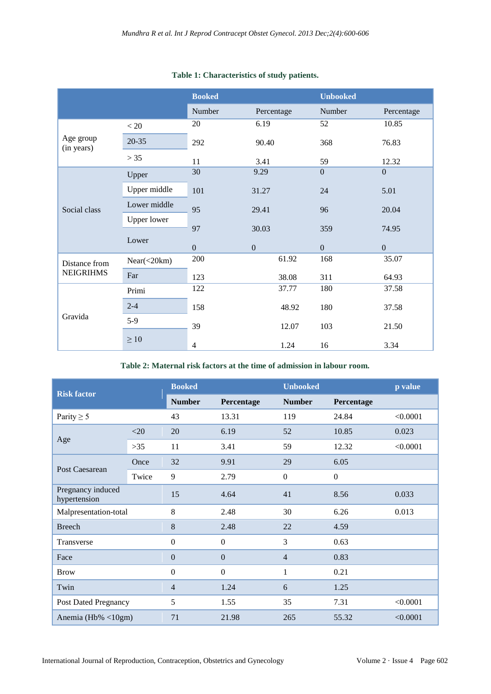|                         |                    | <b>Booked</b>  |              | <b>Unbooked</b> |                  |
|-------------------------|--------------------|----------------|--------------|-----------------|------------------|
|                         |                    | Number         | Percentage   | Number          | Percentage       |
|                         | < 20               | 20             | 6.19         | 52              | 10.85            |
| Age group<br>(in years) | $20 - 35$          | 292            | 90.40        | 368             | 76.83            |
|                         | > 35               | 11             | 3.41         | 59              | 12.32            |
|                         | Upper              | 30             | 9.29         | $\mathbf{0}$    | $\overline{0}$   |
| Social class            | Upper middle       | 101            | 31.27        | 24              | 5.01             |
|                         | Lower middle       | 95             | 29.41        | 96              | 20.04            |
|                         | <b>Upper lower</b> |                |              |                 |                  |
|                         | Lower              | 97             | 30.03        | 359             | 74.95            |
|                         |                    | $\overline{0}$ | $\mathbf{0}$ | $\mathbf{0}$    | $\boldsymbol{0}$ |
| Distance from           | Near(<20km)        | 200            | 61.92        | 168             | 35.07            |
| <b>NEIGRIHMS</b>        | Far                | 123            | 38.08        | 311             | 64.93            |
|                         | Primi              | 122            | 37.77        | 180             | 37.58            |
| Gravida                 | $2 - 4$            | 158            | 48.92        | 180             | 37.58            |
|                         | $5-9$              | 39             | 12.07        | 103             | 21.50            |
|                         | $\geq 10$          | 4              | 1.24         | 16              | 3.34             |

# **Table 1: Characteristics of study patients.**

**Table 2: Maternal risk factors at the time of admission in labour room.**

| <b>Risk factor</b>                |        | <b>Booked</b>    |                  | <b>Unbooked</b> |                  | p value  |
|-----------------------------------|--------|------------------|------------------|-----------------|------------------|----------|
|                                   |        | <b>Number</b>    | Percentage       | <b>Number</b>   | Percentage       |          |
| Parity $\geq 5$                   |        | 43               | 13.31            | 119             | 24.84            | < 0.0001 |
|                                   | $<$ 20 | 20               | 6.19             | 52              | 10.85            | 0.023    |
| Age                               | $>35$  | 11               | 3.41             | 59              | 12.32            | < 0.0001 |
|                                   | Once   | 32               | 9.91             | 29              | 6.05             |          |
| Post Caesarean                    | Twice  | 9                | 2.79             | $\overline{0}$  | $\boldsymbol{0}$ |          |
| Pregnancy induced<br>hypertension |        | 15               | 4.64             | 41              | 8.56             | 0.033    |
| Malpresentation-total             |        | 8                | 2.48             | 30              | 6.26             | 0.013    |
| <b>Breech</b>                     |        | 8                | 2.48             | 22              | 4.59             |          |
| Transverse                        |        | $\boldsymbol{0}$ | $\mathbf{0}$     | 3               | 0.63             |          |
| Face                              |        | $\mathbf{0}$     | $\mathbf{0}$     | 4               | 0.83             |          |
| <b>Brow</b>                       |        | $\boldsymbol{0}$ | $\boldsymbol{0}$ | 1               | 0.21             |          |
| Twin                              |        | 4                | 1.24             | 6               | 1.25             |          |
| <b>Post Dated Pregnancy</b>       |        | 5                | 1.55             | 35              | 7.31             | < 0.0001 |
| Anemia (Hb% $\langle$ 10gm)       |        | 71               | 21.98            | 265             | 55.32            | < 0.0001 |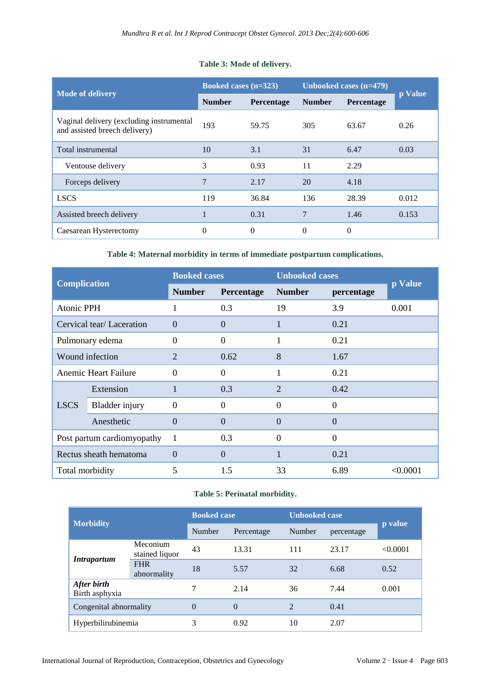# **Table 3: Mode of delivery.**

|                                                                           | <b>Booked cases (n=323)</b> |            | Unbooked cases (n=479) |            |         |
|---------------------------------------------------------------------------|-----------------------------|------------|------------------------|------------|---------|
| <b>Mode of delivery</b>                                                   | <b>Number</b>               | Percentage | <b>Number</b>          | Percentage | p Value |
| Vaginal delivery (excluding instrumental<br>and assisted breech delivery) | 193                         | 59.75      | 305                    | 63.67      | 0.26    |
| Total instrumental                                                        | 10                          | 3.1        | 31                     | 6.47       | 0.03    |
| Ventouse delivery                                                         | 3                           | 0.93       | 11                     | 2.29       |         |
| Forceps delivery                                                          | $\overline{7}$              | 2.17       | 20                     | 4.18       |         |
| <b>LSCS</b>                                                               | 119                         | 36.84      | 136                    | 28.39      | 0.012   |
| Assisted breech delivery                                                  |                             | 0.31       | $\overline{7}$         | 1.46       | 0.153   |
| Caesarean Hysterectomy                                                    | $\theta$                    | $\Omega$   | $\Omega$               | $\theta$   |         |

**Table 4: Maternal morbidity in terms of immediate postpartum complications.**

| <b>Complication</b>         |                          | <b>Booked cases</b> |                | <b>Unbooked cases</b> |                |          |
|-----------------------------|--------------------------|---------------------|----------------|-----------------------|----------------|----------|
|                             |                          | <b>Number</b>       | Percentage     | <b>Number</b>         | percentage     | p Value  |
| <b>Atonic PPH</b>           |                          | 1                   | 0.3            | 19                    | 3.9            | 0.001    |
|                             | Cervical tear/Laceration | $\overline{0}$      | $\Omega$       | 1                     | 0.21           |          |
| Pulmonary edema             |                          | $\Omega$            | $\Omega$       | 1                     | 0.21           |          |
| Wound infection             |                          | $\overline{2}$      | 0.62           | 8                     | 1.67           |          |
| <b>Anemic Heart Failure</b> |                          | $\Omega$            | $\Omega$       |                       | 0.21           |          |
|                             | Extension                |                     | 0.3            | $\overline{2}$        | 0.42           |          |
| <b>LSCS</b>                 | <b>Bladder</b> injury    | $\theta$            | $\Omega$       | $\Omega$              | $\theta$       |          |
|                             | Anesthetic               | $\Omega$            | $\overline{0}$ | $\Omega$              | $\overline{0}$ |          |
| Post partum cardiomyopathy  |                          | 1                   | 0.3            | $\Omega$              | $\overline{0}$ |          |
| Rectus sheath hematoma      |                          | $\Omega$            | $\overline{0}$ | $\mathbf{1}$          | 0.21           |          |
| Total morbidity             |                          | 5                   | 1.5            | 33                    | 6.89           | < 0.0001 |

# **Table 5: Perinatal morbidity.**

| <b>Morbidity</b>              |                            | <b>Booked case</b> |            | <b>Unbooked case</b> |            |          |
|-------------------------------|----------------------------|--------------------|------------|----------------------|------------|----------|
|                               |                            | Number             | Percentage | Number               | percentage | p value  |
| Intrapartum                   | Meconium<br>stained liquor | 43                 | 13.31      | 111                  | 23.17      | < 0.0001 |
|                               | <b>FHR</b><br>abnormality  | 18                 | 5.57       | 32                   | 6.68       | 0.52     |
| After birth<br>Birth asphyxia |                            | 7                  | 2.14       | 36                   | 7.44       | 0.001    |
| Congenital abnormality        |                            | $\theta$           | $\Omega$   | $\mathcal{L}$        | 0.41       |          |
| Hyperbilirubinemia            |                            | 3                  | 0.92       | 10                   | 2.07       |          |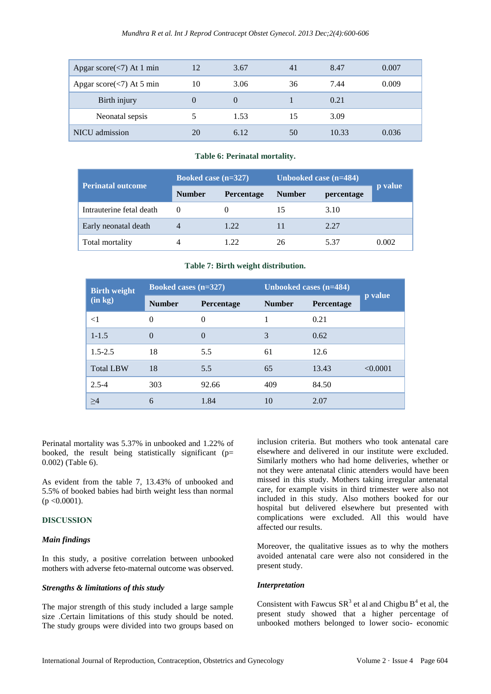| Apgar score $(<)$ At 1 min |    | 3.67 | 41 | 8.47  | 0.007 |
|----------------------------|----|------|----|-------|-------|
| Apgar score $(<)$ At 5 min | 10 | 3.06 | 36 | 7.44  | 0.009 |
| Birth injury               |    |      |    | 0.21  |       |
| Neonatal sepsis            |    | 1.53 |    | 3.09  |       |
| <b>NICU</b> admission      |    | 6.12 | 50 | 10.33 | 0.036 |

#### **Table 6: Perinatal mortality.**

| Perinatal outcome        | Booked case $(n=327)$ |                   | Unbooked case $(n=484)$ |            |         |  |
|--------------------------|-----------------------|-------------------|-------------------------|------------|---------|--|
|                          | <b>Number</b>         | <b>Percentage</b> | <b>Number</b>           | percentage | p value |  |
| Intrauterine fetal death | $\theta$              |                   | 15                      | 3.10       |         |  |
| Early neonatal death     |                       | 1.22              |                         | 2.27       |         |  |
| Total mortality          | 4                     | 1 22              | 26                      | 537        | 0.002   |  |

#### **Table 7: Birth weight distribution.**

| <b>Birth weight</b><br>(in kg) | Booked cases $(n=327)$ |                   | Unbooked cases (n=484) |            |          |
|--------------------------------|------------------------|-------------------|------------------------|------------|----------|
|                                | <b>Number</b>          | <b>Percentage</b> | <b>Number</b>          | Percentage | p value  |
| $<$ 1                          | $\Omega$               | $\Omega$          |                        | 0.21       |          |
| $1 - 1.5$                      | $\Omega$               | $\Omega$          | 3                      | 0.62       |          |
| $1.5 - 2.5$                    | 18                     | 5.5               | 61                     | 12.6       |          |
| <b>Total LBW</b>               | 18                     | 5.5               | 65                     | 13.43      | < 0.0001 |
| $2.5 - 4$                      | 303                    | 92.66             | 409                    | 84.50      |          |
| >4                             | 6                      | 1.84              | 10                     | 2.07       |          |

Perinatal mortality was 5.37% in unbooked and 1.22% of booked, the result being statistically significant ( $p=$ 0.002) (Table 6).

As evident from the table 7, 13.43% of unbooked and 5.5% of booked babies had birth weight less than normal  $(p \le 0.0001)$ .

# **DISCUSSION**

#### *Main findings*

In this study, a positive correlation between unbooked mothers with adverse feto-maternal outcome was observed.

#### *Strengths & limitations of this study*

The major strength of this study included a large sample size .Certain limitations of this study should be noted. The study groups were divided into two groups based on inclusion criteria. But mothers who took antenatal care elsewhere and delivered in our institute were excluded. Similarly mothers who had home deliveries, whether or not they were antenatal clinic attenders would have been missed in this study. Mothers taking irregular antenatal care, for example visits in third trimester were also not included in this study. Also mothers booked for our hospital but delivered elsewhere but presented with complications were excluded. All this would have affected our results.

Moreover, the qualitative issues as to why the mothers avoided antenatal care were also not considered in the present study.

#### *Interpretation*

Consistent with Fawcus  $SR<sup>3</sup>$  et al and Chigbu  $B<sup>4</sup>$  et al, the present study showed that a higher percentage of unbooked mothers belonged to lower socio- economic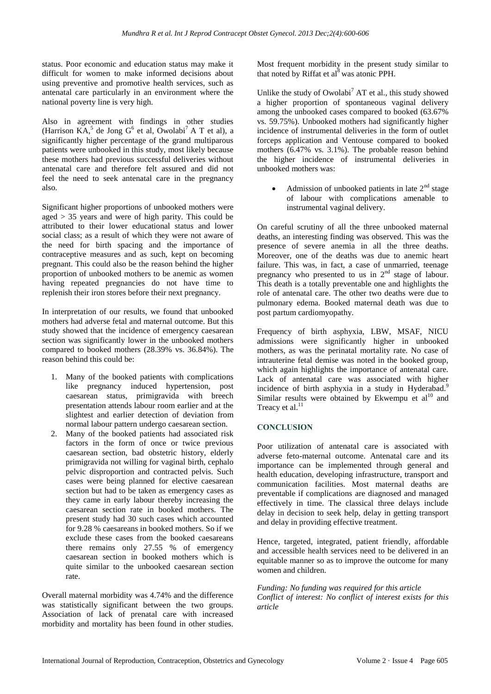status. Poor economic and education status may make it difficult for women to make informed decisions about using preventive and promotive health services, such as antenatal care particularly in an environment where the national poverty line is very high.

Also in agreement with findings in other studies (Harrison KA,<sup>5</sup> de Jong G<sup>6</sup> et al, Owolabi<sup>7</sup> A T et al), a significantly higher percentage of the grand multiparous patients were unbooked in this study, most likely because these mothers had previous successful deliveries without antenatal care and therefore felt assured and did not feel the need to seek antenatal care in the pregnancy also.

Significant higher proportions of unbooked mothers were aged > 35 years and were of high parity. This could be attributed to their lower educational status and lower social class; as a result of which they were not aware of the need for birth spacing and the importance of contraceptive measures and as such, kept on becoming pregnant. This could also be the reason behind the higher proportion of unbooked mothers to be anemic as women having repeated pregnancies do not have time to replenish their iron stores before their next pregnancy.

In interpretation of our results, we found that unbooked mothers had adverse fetal and maternal outcome. But this study showed that the incidence of emergency caesarean section was significantly lower in the unbooked mothers compared to booked mothers (28.39% vs. 36.84%). The reason behind this could be:

- 1. Many of the booked patients with complications like pregnancy induced hypertension, post caesarean status, primigravida with breech presentation attends labour room earlier and at the slightest and earlier detection of deviation from normal labour pattern undergo caesarean section.
- 2. Many of the booked patients had associated risk factors in the form of once or twice previous caesarean section, bad obstetric history, elderly primigravida not willing for vaginal birth, cephalo pelvic disproportion and contracted pelvis. Such cases were being planned for elective caesarean section but had to be taken as emergency cases as they came in early labour thereby increasing the caesarean section rate in booked mothers. The present study had 30 such cases which accounted for 9.28 % caesareans in booked mothers. So if we exclude these cases from the booked caesareans there remains only 27.55 % of emergency caesarean section in booked mothers which is quite similar to the unbooked caesarean section rate.

Overall maternal morbidity was 4.74% and the difference was statistically significant between the two groups. Association of lack of prenatal care with increased morbidity and mortality has been found in other studies. Most frequent morbidity in the present study similar to that noted by Riffat et  $al<sup>8</sup>$  was atonic PPH.

Unlike the study of Owolabi<sup>7</sup> AT et al., this study showed a higher proportion of spontaneous vaginal delivery among the unbooked cases compared to booked (63.67% vs. 59.75%). Unbooked mothers had significantly higher incidence of instrumental deliveries in the form of outlet forceps application and Ventouse compared to booked mothers (6.47% vs. 3.1%). The probable reason behind the higher incidence of instrumental deliveries in unbooked mothers was:

• Admission of unbooked patients in late  $2<sup>nd</sup>$  stage of labour with complications amenable to instrumental vaginal delivery.

On careful scrutiny of all the three unbooked maternal deaths, an interesting finding was observed. This was the presence of severe anemia in all the three deaths. Moreover, one of the deaths was due to anemic heart failure. This was, in fact, a case of unmarried, teenage pregnancy who presented to us in  $2<sup>nd</sup>$  stage of labour. This death is a totally preventable one and highlights the role of antenatal care. The other two deaths were due to pulmonary edema. Booked maternal death was due to post partum cardiomyopathy.

Frequency of birth asphyxia, LBW, MSAF, NICU admissions were significantly higher in unbooked mothers, as was the perinatal mortality rate. No case of intrauterine fetal demise was noted in the booked group, which again highlights the importance of antenatal care. Lack of antenatal care was associated with higher incidence of birth asphyxia in a study in Hyderabad.<sup>9</sup> Similar results were obtained by Ekwempu et  $al^{10}$  and Treacy et al.<sup>11</sup>

# **CONCLUSION**

Poor utilization of antenatal care is associated with adverse feto-maternal outcome. Antenatal care and its importance can be implemented through general and health education, developing infrastructure, transport and communication facilities. Most maternal deaths are preventable if complications are diagnosed and managed effectively in time. The classical three delays include delay in decision to seek help, delay in getting transport and delay in providing effective treatment.

Hence, targeted, integrated, patient friendly, affordable and accessible health services need to be delivered in an equitable manner so as to improve the outcome for many women and children.

*Funding: No funding was required for this article Conflict of interest: No conflict of interest exists for this article*